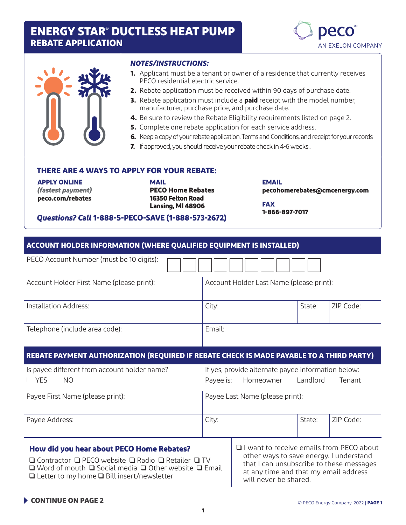## **ENERGY STAR® DUCTLESS HEAT PUMP REBATE APPLICATION**





#### *NOTES/INSTRUCTIONS:*

- **1.** Applicant must be a tenant or owner of a residence that currently receives PECO residential electric service.
- **2.** Rebate application must be received within 90 days of purchase date.
- **3.** Rebate application must include a **paid** receipt with the model number, manufacturer, purchase price, and purchase date.
- **4.** Be sure to review the Rebate Eligibility requirements listed on page 2.
- **5.** Complete one rebate application for each service address.
- **6.** Keep a copy of your rebate application, Terms and Conditions, and receipt for your records
- **7.** If approved, you should receive your rebate check in 4-6 weeks..

#### **THERE ARE 4 WAYS TO APPLY FOR YOUR REBATE:**

**APPLY ONLINE**  *(fastest payment)* **[peco.com/rebates](http://peco.com/rebates)**

**MAIL PECO Home Rebates 16350 Felton Road Lansing, MI 48906**

**EMAIL pecohomerebates@cmcenergy.com**

**FAX 1-866-897-7017**

#### *Questions? Call* **1-888-5-PECO-SAVE (1-888-573-2672)**

| <b>ACCOUNT HOLDER INFORMATION (WHERE QUALIFIED EQUIPMENT IS INSTALLED)</b>                                                                                                                                                                                        |           |                                                                                                                                                                                                          |          |           |
|-------------------------------------------------------------------------------------------------------------------------------------------------------------------------------------------------------------------------------------------------------------------|-----------|----------------------------------------------------------------------------------------------------------------------------------------------------------------------------------------------------------|----------|-----------|
| PECO Account Number (must be 10 digits):                                                                                                                                                                                                                          |           |                                                                                                                                                                                                          |          |           |
| Account Holder First Name (please print):                                                                                                                                                                                                                         |           | Account Holder Last Name (please print):                                                                                                                                                                 |          |           |
| Installation Address:                                                                                                                                                                                                                                             |           | City:                                                                                                                                                                                                    |          | ZIP Code: |
| Telephone (include area code):                                                                                                                                                                                                                                    |           | Email:                                                                                                                                                                                                   |          |           |
| REBATE PAYMENT AUTHORIZATION (REQUIRED IF REBATE CHECK IS MADE PAYABLE TO A THIRD PARTY)                                                                                                                                                                          |           |                                                                                                                                                                                                          |          |           |
| Is payee different from account holder name?                                                                                                                                                                                                                      |           | If yes, provide alternate payee information below:                                                                                                                                                       |          |           |
| <b>YES</b><br>N <sub>O</sub>                                                                                                                                                                                                                                      | Payee is: | Homeowner                                                                                                                                                                                                | Landlord | Tenant    |
| Payee First Name (please print):                                                                                                                                                                                                                                  |           | Payee Last Name (please print):                                                                                                                                                                          |          |           |
| Payee Address:                                                                                                                                                                                                                                                    |           | City:<br>State:                                                                                                                                                                                          |          | ZIP Code: |
| How did you hear about PECO Home Rebates?<br>$\Box$ Contractor $\Box$ PECO website $\Box$ Radio $\Box$ Retailer $\Box$ TV<br>$\Box$ Word of mouth $\Box$ Social media $\Box$ Other website $\Box$ Email<br>$\Box$ Letter to my home $\Box$ Bill insert/newsletter |           | $\Box$ I want to receive emails from PECO about<br>other ways to save energy. I understand<br>that I can unsubscribe to these messages<br>at any time and that my email address<br>will never be shared. |          |           |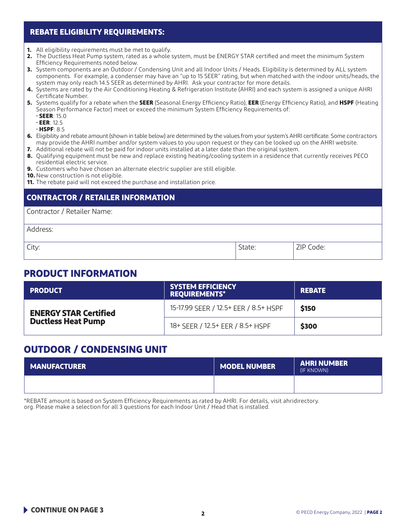#### **REBATE ELIGIBILITY REQUIREMENTS:**

- **1.** All eligibility requirements must be met to qualify.
- **2.** The Ductless Heat Pump system, rated as a whole system, must be ENERGY STAR certified and meet the minimum System Efficiency Requirements noted below.
- **3.** System components are an Outdoor / Condensing Unit and all Indoor Units / Heads. Eligibility is determined by ALL system components. For example, a condenser may have an "up to 15 SEER" rating, but when matched with the indoor units/heads, the system may only reach 14.5 SEER as determined by AHRI. Ask your contractor for more details.
- **4.** Systems are rated by the Air Conditioning Heating & Refrigeration Institute (AHRI) and each system is assigned a unique AHRI Certificate Number.
- **5.** Systems qualify for a rebate when the **SEER** (Seasonal Energy Efficiency Ratio), **EER** (Energy Efficiency Ratio), and **HSPF** (Heating Season Performance Factor) meet or exceed the minimum System Efficiency Requirements of:
	- **SEER**: 15.0
	- **EER**: 12.5
	- **HSPF**: 8.5
- **6.** Eligibility and rebate amount (shown in table below) are determined by the values from your system's AHRI certificate. Some contractors may provide the AHRI number and/or system values to you upon request or they can be looked up on the AHRI website.
- **7.** Additional rebate will not be paid for indoor units installed at a later date than the original system.
- **8.** Qualifying equipment must be new and replace existing heating/cooling system in a residence that currently receives PECO residential electric service.
- **9.** Customers who have chosen an alternate electric supplier are still eligible.
- **10.** New construction is not eligible.
- **11.** The rebate paid will not exceed the purchase and installation price.

#### **CONTRACTOR / RETAILER INFORMATION**

Contractor / Retailer Name:

Address:

City:  $\qquad \qquad \text{2IP Code:} \qquad \qquad$ 

### **PRODUCT INFORMATION**

| <b>PRODUCT</b>               | <b>SYSTEM EFFICIENCY</b><br><b>REQUIREMENTS*</b> | <b>REBATE</b> |
|------------------------------|--------------------------------------------------|---------------|
| <b>ENERGY STAR Certified</b> | 15-17.99 SEER / 12.5+ EER / 8.5+ HSPF            | \$150         |
| <b>Ductless Heat Pump</b>    | 18+ SEER / 12.5+ EER / 8.5+ HSPF                 | \$300         |

## **OUTDOOR / CONDENSING UNIT**

| <b>MANUFACTURER</b> | <b>MODEL NUMBER</b> | <b>AHRI NUMBER</b><br>(IF KNOWN) |
|---------------------|---------------------|----------------------------------|
|                     |                     |                                  |

\*REBATE amount is based on System Efficiency Requirements as rated by AHRI. For details, visit ahridirectory. org. Please make a selection for all 3 questions for each Indoor Unit / Head that is installed.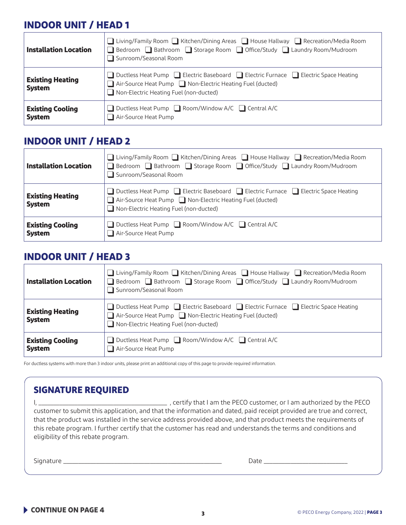# **INDOOR UNIT / HEAD 1**

| <b>Installation Location</b>             | ■ Living/Family Room ■ Kitchen/Dining Areas ■ House Hallway ■ Recreation/Media Room<br>□ Bedroom □ Bathroom □ Storage Room □ Office/Study □ Laundry Room/Mudroom<br>Sunroom/Seasonal Room  |
|------------------------------------------|--------------------------------------------------------------------------------------------------------------------------------------------------------------------------------------------|
| <b>Existing Heating</b><br><b>System</b> | □ Ductless Heat Pump □ Electric Baseboard □ Electric Furnace □ Electric Space Heating<br>Air-Source Heat Pump Non-Electric Heating Fuel (ducted)<br>Non-Electric Heating Fuel (non-ducted) |
| <b>Existing Cooling</b><br><b>System</b> | $\Box$ Ductless Heat Pump $\Box$ Room/Window A/C $\Box$ Central A/C<br>Air-Source Heat Pump                                                                                                |

### **INDOOR UNIT / HEAD 2**

| <b>Installation Location</b>             | $\Box$ Living/Family Room $\Box$ Kitchen/Dining Areas $\Box$ House Hallway $\Box$ Recreation/Media Room<br>□ Bedroom □ Bathroom □ Storage Room □ Office/Study □ Laundry Room/Mudroom<br>Sunroom/Seasonal Room |
|------------------------------------------|---------------------------------------------------------------------------------------------------------------------------------------------------------------------------------------------------------------|
| <b>Existing Heating</b><br><b>System</b> | □ Ductless Heat Pump □ Electric Baseboard □ Electric Furnace □ Electric Space Heating<br>Air-Source Heat Pump Non-Electric Heating Fuel (ducted)<br>$\Box$ Non-Electric Heating Fuel (non-ducted)             |
| <b>Existing Cooling</b><br><b>System</b> | $\Box$ Ductless Heat Pump $\Box$ Room/Window A/C $\Box$ Central A/C<br>Air-Source Heat Pump                                                                                                                   |

### **INDOOR UNIT / HEAD 3**

| <b>Installation Location</b>             | $\Box$ Living/Family Room $\Box$ Kitchen/Dining Areas $\Box$ House Hallway $\Box$ Recreation/Media Room<br>■ Bedroom ■ Bathroom ■ Storage Room ■ Office/Study ■ Laundry Room/Mudroom<br>Sunroom/Seasonal Room |
|------------------------------------------|---------------------------------------------------------------------------------------------------------------------------------------------------------------------------------------------------------------|
| <b>Existing Heating</b><br><b>System</b> | □ Ductless Heat Pump □ Electric Baseboard □ Electric Furnace □ Electric Space Heating<br>Air-Source Heat Pump Non-Electric Heating Fuel (ducted)<br>Non-Electric Heating Fuel (non-ducted)                    |
| <b>Existing Cooling</b><br><b>System</b> | Ductless Heat Pump $\Box$ Room/Window A/C $\Box$ Central A/C<br>Air-Source Heat Pump                                                                                                                          |

For ductless systems with more than 3 indoor units, please print an additional copy of this page to provide required information.

## **SIGNATURE REQUIRED**

I, \_\_\_\_\_\_\_\_\_\_\_\_\_\_\_\_\_\_\_\_\_\_\_\_\_\_\_\_\_\_\_\_\_\_\_\_\_\_\_\_\_\_\_ , certify that I am the PECO customer, or I am authorized by the PECO customer to submit this application, and that the information and dated, paid receipt provided are true and correct, that the product was installed in the service address provided above, and that product meets the requirements of this rebate program. I further certify that the customer has read and understands the terms and conditions and eligibility of this rebate program.

Signature \_\_\_\_\_\_\_\_\_\_\_\_\_\_\_\_\_\_\_\_\_\_\_\_\_\_\_\_\_\_\_\_\_\_\_\_\_\_\_\_\_\_\_\_\_\_\_\_\_\_\_\_\_ Date \_\_\_\_\_\_\_\_\_\_\_\_\_\_\_\_\_\_\_\_\_\_\_\_\_\_\_\_